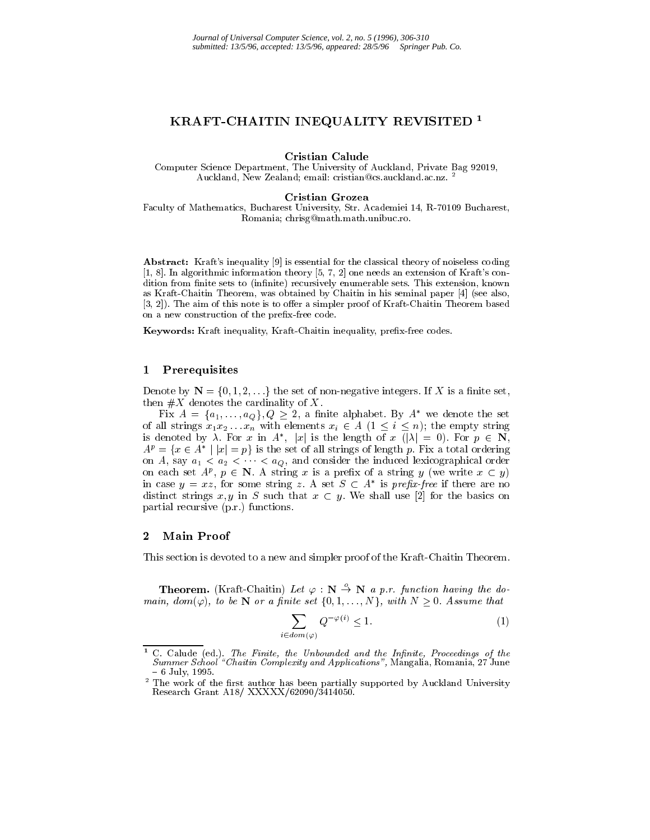# KRAFT-CHAITIN INEQUALITY REVISITED<sup>1</sup>

Cristian Calude

Computer Science Department, The University of Auckland, Private Bag 92019, Auckland, New Zealand; email: cristian@cs.auckland.ac.nz. <sup>2</sup>

#### Cristian Grozea

Faculty of Mathematics, Bucharest University, Str. Academiei 14, R-70109 Bucharest, Romania; chrisg@math.math.unibuc.ro.

Abstract: Kraft's inequality [9] is essential for the classical theory of noiseless coding [1, 8]. In algorithmic information theory [5, 7, 2] one needs an extension of Kraft's condition from finite sets to (infinite) recursively enumerable sets. This extension, known as Kraft-Chaitin Theorem, was obtained by Chaitin in his seminal paper [4] (see also,  $[3, 2]$ . The aim of this note is to offer a simpler proof of Kraft-Chaitin Theorem based on a new construction of the prefix-free code.

Keywords: Kraft inequality, Kraft-Chaitin inequality, prefix-free codes.

## <sup>1</sup> Prerequisites

Denote by  $N = \{0, 1, 2, \ldots\}$  the set of non-negative integers. If X is a finite set, then  $\#X$  denotes the cardinality of X.

Fix  $A = \{a_1, \ldots, a_Q\}$ ,  $Q \geq 2$ , a nime alphabet. By A we denote the set is denoted by  $\lambda$ . For x in A<sup>\*</sup>, |x| is the length of x  $\overline{(|\lambda|)} = 0$ ). For  $p \in \mathbb{N}$ ,  $A^T = \{x \in A \mid |x| = p\}$  is the set of all strings of length p. Fix a total ordering on A, say  $a_1 < a_2 < \cdots < a_Q$ , and consider the induced lexicographical order on each set  $A^x$ ,  $p \in N$ . A string x is a prefix of a string y (we write  $x \in y$ ) in case  $y = xz$ , for some string z. A set  $S \subseteq A$  is preju-free if there are no distinct strings x, y in S such that  $x \text{ }\subset y$ . We shall use [2] for the basics on partial recursive (p.r.) functions.

## <sup>2</sup> Main Proof

This section is devoted to a new and simpler proof of the Kraft-Chaitin Theorem.

**Theorem.** (Kraft-Chaitin) Let  $\varphi : \mathbb{N} \stackrel{o}{\to} \mathbb{N}$  a p.r. function having the domain, dom( $\varphi$ ), to be N or a finite set  $\{0, 1, \ldots, N\}$ , with  $N \geq 0$ . Assume that

$$
\sum_{i \in dom(\varphi)} Q^{-\varphi(i)} \le 1. \tag{1}
$$

 $\,$   $\,$  C  $\,$  Calude (ed.). The Finite, the Unbounded and the Infinite, Proceedings of the  $\,$ Summer School'"Chaitin Complexity and Applications", Mangalia, Romania, 27 June

<sup>&</sup>lt;sup>2</sup> The work of the first author has been partially supported by Auckland University Research Grant A18/ XXXXX/62090/3414050.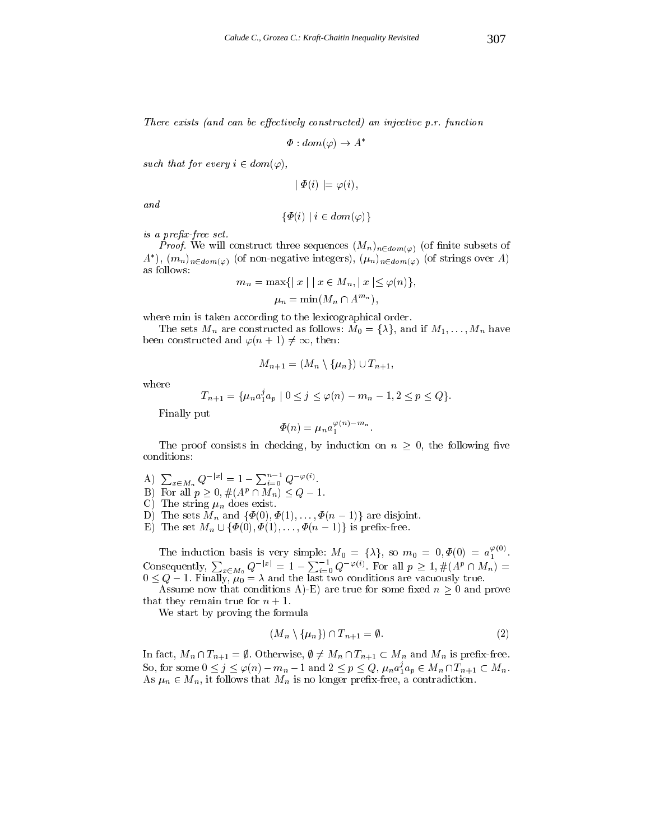There exists (and can be effectively constructed) an injective  $p.r.$  function

$$
\Phi: dom(\varphi) \to A^*
$$

such that for every  $i \in dom(\varphi)$ ,

$$
| \Phi(i) | = \varphi(i),
$$

and

$$
\{\Phi(i) \mid i \in dom(\varphi)\}\
$$

is a prefix-free set.

*Proof.* We will construct three sequences  $(M_n)_{n \in dom(\varphi)}$  (of finite subsets of A ),  $(m_n)_{n \in dom(\varphi)}$  (of non-negative integers),  $(\mu_n)_{n \in dom(\varphi)}$  (of strings over A) as follows:

$$
m_n = \max\{|x| \mid x \in M_n, \|x| \le \varphi(n)\},\
$$
  

$$
\mu_n = \min(M_n \cap A^{m_n}),
$$

where min is taken according to the lexicographical order.

The sets  $M_n$  are constructed as follows:  $M_0 = {\lambda}$ , and if  $M_1, \ldots, M_n$  have been constructed and  $\varphi(n + 1) \neq \infty$ , then:

$$
M_{n+1} = (M_n \setminus \{\mu_n\}) \cup T_{n+1},
$$

where

$$
T_{n+1} = \{ \mu_n a_1^j a_p \mid 0 \le j \le \varphi(n) - m_n - 1, 2 \le p \le Q \}.
$$
  
Finally put

$$
\Phi(n) = \mu_n a_1^{\varphi(n)-m_n}.
$$

The proof consists in checking, by induction on  $\mathcal{L}(\mathbf{A})$  , the following vector on n  $\mathcal{L}(\mathbf{A})$ conditions:

- A)  $\sum_{x \in M_n} Q^{-|x|} = 1 \sum_{i=0}^{n-1} Q^{-\varphi(i)}.$
- **D**) For all  $p \ge 0$ ,  $\#(A^p \sqcup M_n) \le Q 1$ .
- C) The string  $\mu_n$  does exist.
- D) The sets  $M_n$  and  $\{\Phi(0), \Phi(1), \ldots, \Phi(n-1)\}\)$  are disjoint.
- E) The set  $M_n \cup \{\Phi(0), \Phi(1), \ldots, \Phi(n-1)\}\$ is prefix-free.

The induction basis is very simple:  $M_0 = \{\lambda\}$ , so  $m_0 = 0, \Phi(0) = a_1^{\varphi(0)}$ .<br>Consequently,  $\sum_{x \in M_0} Q^{-|x|} = 1 - \sum_{i=0}^{-1} Q^{-\varphi(i)}$ . For all  $p \ge 1, \#(A^p \cap M_n) =$ 0 <sup>Q</sup> 1. Finally, 0 <sup>=</sup> and the last two conditions are vacuously true.

Assume now that conditions A)-E) are true for some fixed  $n \geq 0$  and prove that they remain true for  $n + 1$ .

We start by proving the formula

$$
(M_n \setminus \{\mu_n\}) \cap T_{n+1} = \emptyset. \tag{2}
$$

In fact,  $M_n \cap T_{n+1} = \emptyset$ . Otherwise,  $\emptyset \neq M_n \cap T_{n+1} \subset M_n$  and  $M_n$  is prefix-free. So, for some  $0 \leq j \leq \varphi(n) - m_n - 1$  and  $2 \leq p \leq Q$ ,  $\mu_n a_1^* a_p \in M_n \cap T_{n+1} \subset M_n$ . As not in the contrast  $\alpha$  is the model of  $\alpha$  is the contrast of  $\alpha$  is the contract of  $\alpha$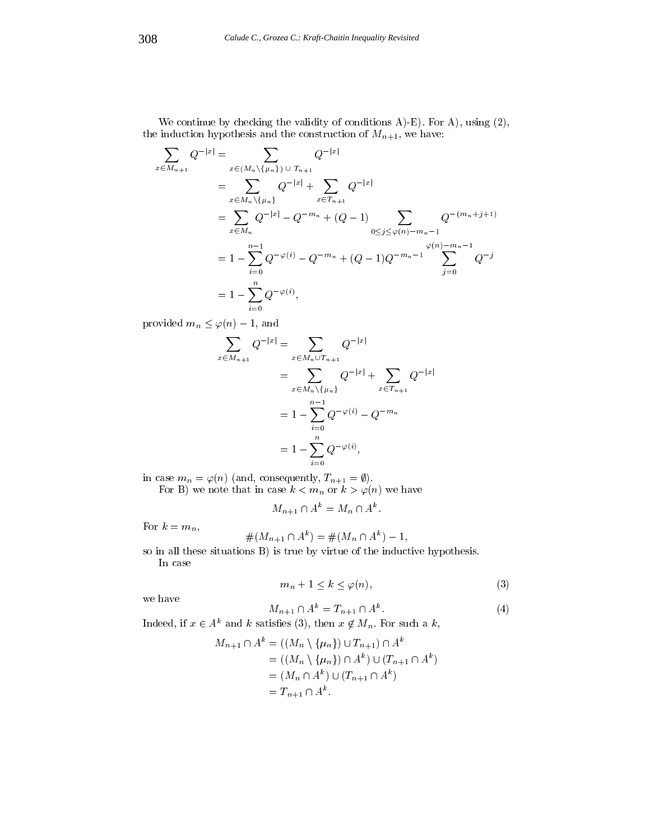We continue by checking the validity of conditions  $A$ )-E). For  $A$ ), using  $(2)$ , the induction hypothesis and the construction of  $M_{n+1}$ , we have:

$$
\sum_{x \in M_{n+1}} Q^{-|x|} = \sum_{x \in (M_n \setminus \{\mu_n\})} Q^{-|x|}
$$
\n
$$
= \sum_{x \in M_n \setminus \{\mu_n\}} Q^{-|x|} + \sum_{x \in T_{n+1}} Q^{-|x|}
$$
\n
$$
= \sum_{x \in M_n} Q^{-|x|} - Q^{-m_n} + (Q - 1) \sum_{0 \le j \le \varphi(n) - m_n - 1} Q^{-(m_n + j + 1)}
$$
\n
$$
= 1 - \sum_{i=0}^{n-1} Q^{-\varphi(i)} - Q^{-m_n} + (Q - 1)Q^{-m_n - 1} \sum_{j=0}^{\varphi(n) - m_n - 1} Q^{-j}
$$
\n
$$
= 1 - \sum_{i=0}^{n} Q^{-\varphi(i)},
$$

provided  $m_n \leq \varphi(n) - 1$ , and

$$
\sum_{x \in M_{n+1}} Q^{-|x|} = \sum_{x \in M_n \cup T_{n+1}} Q^{-|x|}
$$
  
= 
$$
\sum_{x \in M_n \setminus \{\mu_n\}} Q^{-|x|} + \sum_{x \in T_{n+1}} Q^{-|x|}
$$
  
= 
$$
1 - \sum_{i=0}^{n-1} Q^{-\varphi(i)} - Q^{-m_n}
$$
  
= 
$$
1 - \sum_{i=0}^{n} Q^{-\varphi(i)},
$$

in case  $m_n = \varphi(n)$  (and, consequently,  $T_{n+1} = \varnothing$ ).

For B) we note that in case  $\kappa < m_n$  or  $\kappa > \varphi(n)$  we have

$$
M_{n+1} \cap A^k = M_n \cap A^k.
$$

For  $k = m_n$ ,

$$
#(M_{n+1} \cap A^k) = #(M_n \cap A^k) - 1,
$$

so in all these situations B) is true by virtue of the inductive hypothesis. In case

$$
m_n + 1 \le k \le \varphi(n),\tag{3}
$$

we have

$$
M_{n+1} \cap A^k = T_{n+1} \cap A^k. \tag{4}
$$

Indeed, if  $x \in A^k$  and k satisfies (3), then  $x \notin M_n$ . For such a k,

$$
M_{n+1} \cap A^k = ((M_n \setminus \{\mu_n\}) \cup T_{n+1}) \cap A^k
$$
  
= ((M\_n \setminus \{\mu\_n\}) \cap A^k) \cup (T\_{n+1} \cap A^k)  
= (M\_n \cap A^k) \cup (T\_{n+1} \cap A^k)  
= T\_{n+1} \cap A^k.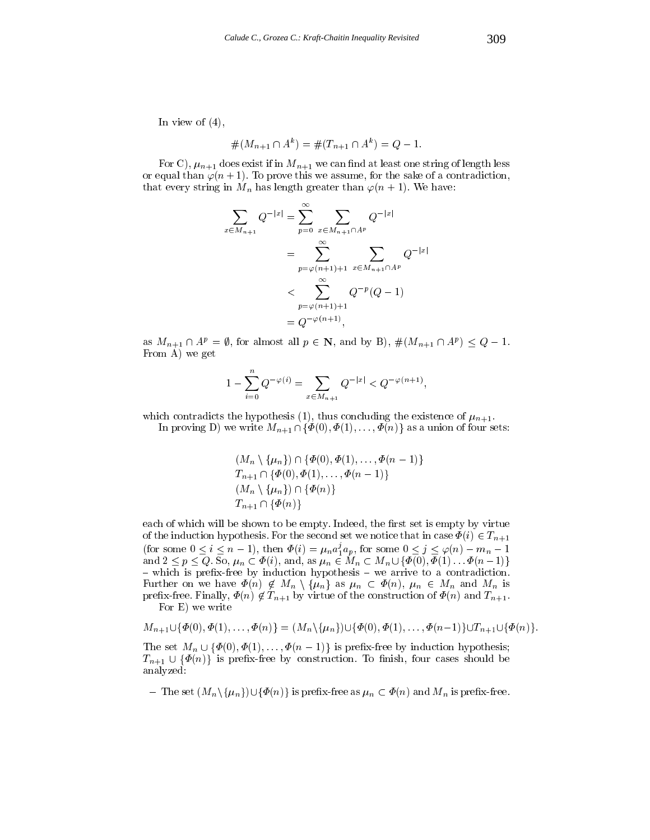In view of  $(4)$ ,

$$
#(M_{n+1} \cap A^k) = #(T_{n+1} \cap A^k) = Q - 1.
$$

For C),  $\mu_{n+1}$  does exist if in  $M_{n+1}$  we can find at least one string of length less or equal than  $\varphi(n + 1)$ . To prove this we assume, for the sake of a contradiction, that every string in  $M_n$  has length greater than  $\varphi(n + 1)$ . We have:

$$
\sum_{x \in M_{n+1}} Q^{-|x|} = \sum_{p=0}^{\infty} \sum_{x \in M_{n+1} \cap A^p} Q^{-|x|}
$$
  
= 
$$
\sum_{p=\varphi(n+1)+1}^{\infty} \sum_{x \in M_{n+1} \cap A^p} Q^{-|x|}
$$
  
< 
$$
< \sum_{p=\varphi(n+1)+1}^{\infty} Q^{-p} (Q - 1)
$$
  
= 
$$
Q^{-\varphi(n+1)},
$$

as  $M_{n+1} \cap A^p = \emptyset$ , for almost all  $p \in \mathbb{N}$ , and by  $D$ ),  $\#(M_{n+1} \cap A^p) \leq Q = 1$ . From A) we get

$$
1 - \sum_{i=0}^{n} Q^{-\varphi(i)} = \sum_{x \in M_{n+1}} Q^{-|x|} < Q^{-\varphi(n+1)},
$$

which contradicts the hypothesis (1), thus concluding the existence of  $\mu_{n+1}$ .

In proving D) we write  $M_{n+1} \cap \{\Phi(0), \Phi(1), \ldots, \Phi(n)\}\)$  as a union of four sets:

$$
(M_n \setminus \{\mu_n\}) \cap \{\Phi(0), \Phi(1), \dots, \Phi(n-1)\}
$$
  
\n
$$
T_{n+1} \cap \{\Phi(0), \Phi(1), \dots, \Phi(n-1)\}
$$
  
\n
$$
(M_n \setminus \{\mu_n\}) \cap \{\Phi(n)\}
$$
  
\n
$$
T_{n+1} \cap \{\Phi(n)\}
$$

each of which will be shown to be empty. Indeed, the first set is empty by virtue of the induction hypothesis. For the second set we notice that in case  $\Phi(i) \in T_{n+1}$ (for some  $0 \leq i \leq n-1$ ), then  $\Psi(i) = \mu_n a_1^i a_p$ , for some  $0 \leq j \leq \varphi(n) - m_n - 1$ and  $2 = 1$ , and  $2 = 2$  is not and  $2 = 1$ , and  $2 = 1$  is not as not as not as not as not as not as not as not as not as not as not as not as not as not as not as not as not as not as not as not as not as not as not as not  $-$  which is prefix-free by induction hypothesis  $-$  we arrive to a contradiction. Further on we have  $\zeta(r)$  for  $\eta$  and  $\eta$  and  $\eta$  and  $\eta$  and  $\eta$  is not in  $\eta$  is and  $\eta$  is a nonprefix-free. Finally,  $\Phi(n) \notin T_{n+1}$  by virtue of the construction of  $\Phi(n)$  and  $T_{n+1}$ . For E) we write

$$
M_{n+1} \cup \{ \Phi(0), \Phi(1), \ldots, \Phi(n) \} = (M_n \setminus \{ \mu_n \}) \cup \{ \Phi(0), \Phi(1), \ldots, \Phi(n-1) \} \cup T_{n+1} \cup \{ \Phi(n) \}.
$$

The set  $M_n \cup {\phi(0), \phi(1), \ldots, \phi(n-1)}$  is prefix-free by induction hypothesis;  $T_{n+1} \cup {\Phi(n)}$  is prefix-free by construction. To finish, four cases should be analyzed:

- The set  $(M_n \setminus \{\mu_n\}) \cup \{\Phi(n)\}\$ is prefix-free as  $\mu_n \subset \Phi(n)$  and  $M_n$  is prefix-free.